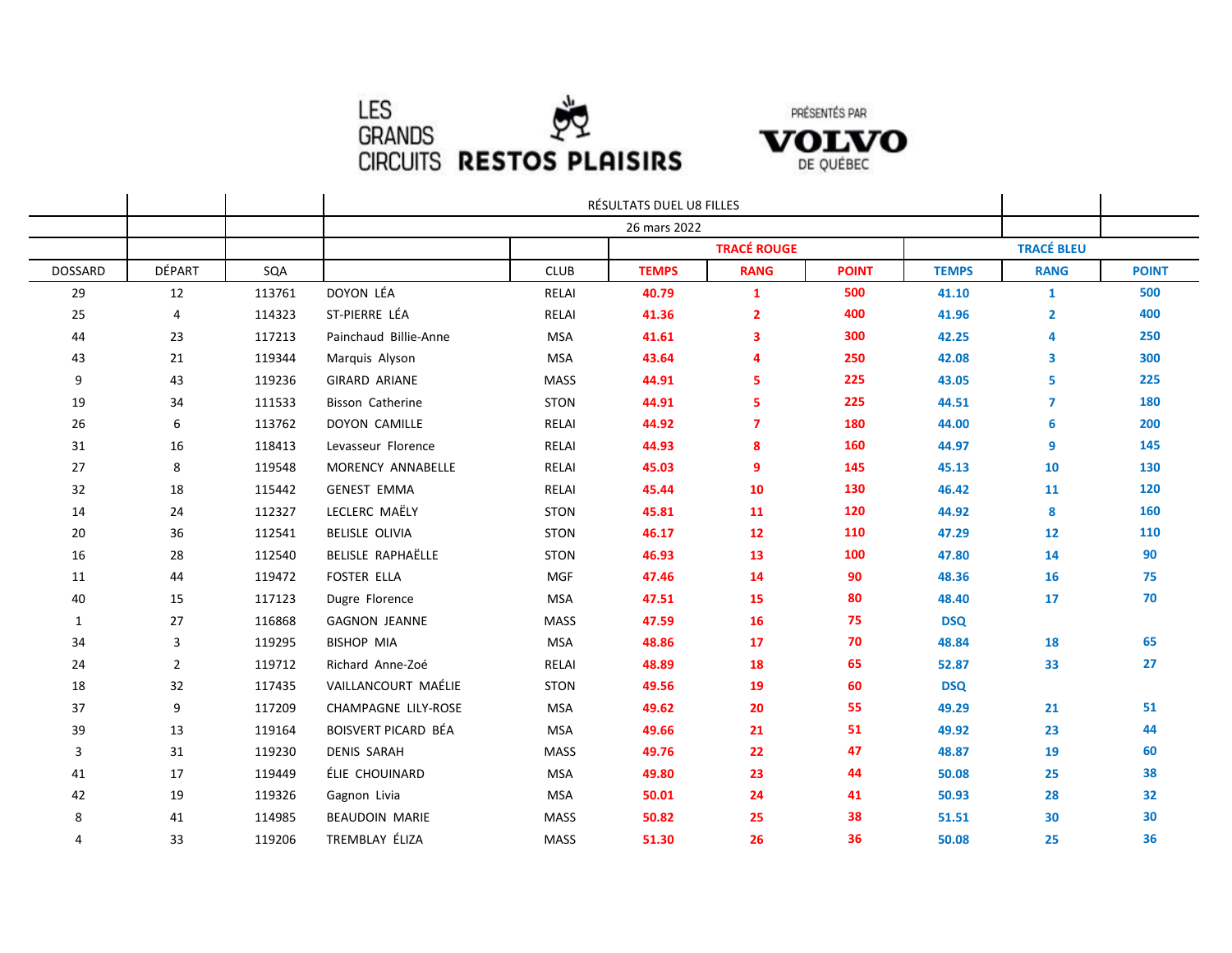



|         |                |        | RÉSULTATS DUEL U8 FILLES<br>26 mars 2022 |             |              |                    |              |              |                   |              |
|---------|----------------|--------|------------------------------------------|-------------|--------------|--------------------|--------------|--------------|-------------------|--------------|
|         |                |        |                                          |             |              |                    |              |              |                   |              |
|         |                |        |                                          |             |              | <b>TRACÉ ROUGE</b> |              |              | <b>TRACÉ BLEU</b> |              |
| DOSSARD | DÉPART         | SQA    |                                          | CLUB        | <b>TEMPS</b> | <b>RANG</b>        | <b>POINT</b> | <b>TEMPS</b> | <b>RANG</b>       | <b>POINT</b> |
| 29      | 12             | 113761 | DOYON LÉA                                | RELAI       | 40.79        | $\mathbf{1}$       | 500          | 41.10        | $\mathbf{1}$      | 500          |
| 25      | 4              | 114323 | ST-PIERRE LÉA                            | RELAI       | 41.36        | $\overline{2}$     | 400          | 41.96        | $\overline{2}$    | 400          |
| 44      | 23             | 117213 | Painchaud Billie-Anne                    | <b>MSA</b>  | 41.61        | 3                  | 300          | 42.25        | 4                 | 250          |
| 43      | 21             | 119344 | Marquis Alyson                           | <b>MSA</b>  | 43.64        | 4                  | 250          | 42.08        | 3                 | 300          |
| 9       | 43             | 119236 | <b>GIRARD ARIANE</b>                     | MASS        | 44.91        | 5                  | 225          | 43.05        | 5                 | 225          |
| 19      | 34             | 111533 | Bisson Catherine                         | <b>STON</b> | 44.91        | 5.                 | 225          | 44.51        | $\overline{7}$    | 180          |
| 26      | 6              | 113762 | DOYON CAMILLE                            | RELAI       | 44.92        | $\overline{7}$     | 180          | 44.00        | 6                 | 200          |
| 31      | 16             | 118413 | Levasseur Florence                       | RELAI       | 44.93        | 8                  | 160          | 44.97        | 9                 | 145          |
| 27      | 8              | 119548 | MORENCY ANNABELLE                        | RELAI       | 45.03        | 9                  | 145          | 45.13        | 10                | 130          |
| 32      | 18             | 115442 | <b>GENEST EMMA</b>                       | RELAI       | 45.44        | 10                 | 130          | 46.42        | 11                | 120          |
| 14      | 24             | 112327 | LECLERC MAËLY                            | <b>STON</b> | 45.81        | 11                 | 120          | 44.92        | 8                 | 160          |
| 20      | 36             | 112541 | <b>BELISLE OLIVIA</b>                    | <b>STON</b> | 46.17        | 12                 | 110          | 47.29        | 12                | 110          |
| 16      | 28             | 112540 | BELISLE RAPHAËLLE                        | <b>STON</b> | 46.93        | 13                 | 100          | 47.80        | 14                | 90           |
| 11      | 44             | 119472 | <b>FOSTER ELLA</b>                       | MGF         | 47.46        | 14                 | 90           | 48.36        | 16                | 75           |
| 40      | 15             | 117123 | Dugre Florence                           | MSA         | 47.51        | 15                 | 80           | 48.40        | 17                | 70           |
| 1       | 27             | 116868 | <b>GAGNON JEANNE</b>                     | <b>MASS</b> | 47.59        | <b>16</b>          | 75           | <b>DSQ</b>   |                   |              |
| 34      | 3              | 119295 | <b>BISHOP MIA</b>                        | <b>MSA</b>  | 48.86        | 17                 | 70           | 48.84        | 18                | 65           |
| 24      | $\overline{2}$ | 119712 | Richard Anne-Zoé                         | RELAI       | 48.89        | 18                 | 65           | 52.87        | 33                | 27           |
| 18      | 32             | 117435 | VAILLANCOURT MAÉLIE                      | <b>STON</b> | 49.56        | 19                 | 60           | <b>DSQ</b>   |                   |              |
| 37      | 9              | 117209 | CHAMPAGNE LILY-ROSE                      | MSA         | 49.62        | 20                 | 55           | 49.29        | 21                | 51           |
| 39      | 13             | 119164 | BOISVERT PICARD BÉA                      | <b>MSA</b>  | 49.66        | 21                 | 51           | 49.92        | 23                | 44           |
| 3       | 31             | 119230 | <b>DENIS SARAH</b>                       | <b>MASS</b> | 49.76        | 22                 | 47           | 48.87        | 19                | 60           |
| 41      | 17             | 119449 | ÉLIE CHOUINARD                           | <b>MSA</b>  | 49.80        | 23                 | 44           | 50.08        | 25                | 38           |
| 42      | 19             | 119326 | Gagnon Livia                             | MSA         | 50.01        | 24                 | 41           | 50.93        | 28                | 32           |
| 8       | 41             | 114985 | <b>BEAUDOIN MARIE</b>                    | <b>MASS</b> | 50.82        | 25                 | 38           | 51.51        | 30                | 30           |
| 4       | 33             | 119206 | TREMBLAY ÉLIZA                           | <b>MASS</b> | 51.30        | 26                 | 36           | 50.08        | 25                | 36           |